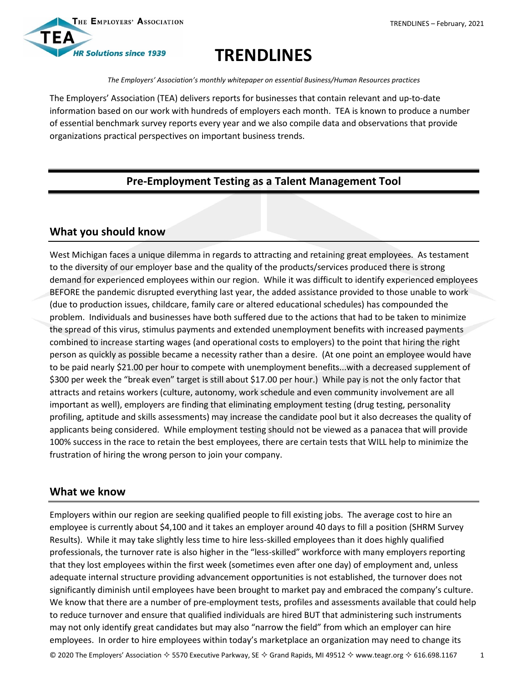

# **TRENDLINES**

*The Employers' Association's monthly whitepaper on essential Business/Human Resources practices*

The Employers' Association (TEA) delivers reports for businesses that contain relevant and up-to-date information based on our work with hundreds of employers each month. TEA is known to produce a number of essential benchmark survey reports every year and we also compile data and observations that provide organizations practical perspectives on important business trends.

### **Pre-Employment Testing as a Talent Management Tool**

## **What you should know**

West Michigan faces a unique dilemma in regards to attracting and retaining great employees. As testament to the diversity of our employer base and the quality of the products/services produced there is strong demand for experienced employees within our region. While it was difficult to identify experienced employees BEFORE the pandemic disrupted everything last year, the added assistance provided to those unable to work (due to production issues, childcare, family care or altered educational schedules) has compounded the problem. Individuals and businesses have both suffered due to the actions that had to be taken to minimize the spread of this virus, stimulus payments and extended unemployment benefits with increased payments combined to increase starting wages (and operational costs to employers) to the point that hiring the right person as quickly as possible became a necessity rather than a desire. (At one point an employee would have to be paid nearly \$21.00 per hour to compete with unemployment benefits...with a decreased supplement of \$300 per week the "break even" target is still about \$17.00 per hour.) While pay is not the only factor that attracts and retains workers (culture, autonomy, work schedule and even community involvement are all important as well), employers are finding that eliminating employment testing (drug testing, personality profiling, aptitude and skills assessments) may increase the candidate pool but it also decreases the quality of applicants being considered. While employment testing should not be viewed as a panacea that will provide 100% success in the race to retain the best employees, there are certain tests that WILL help to minimize the frustration of hiring the wrong person to join your company.

#### **What we know**

Employers within our region are seeking qualified people to fill existing jobs. The average cost to hire an employee is currently about \$4,100 and it takes an employer around 40 days to fill a position (SHRM Survey Results). While it may take slightly less time to hire less-skilled employees than it does highly qualified professionals, the turnover rate is also higher in the "less-skilled" workforce with many employers reporting that they lost employees within the first week (sometimes even after one day) of employment and, unless adequate internal structure providing advancement opportunities is not established, the turnover does not significantly diminish until employees have been brought to market pay and embraced the company's culture. We know that there are a number of pre-employment tests, profiles and assessments available that could help to reduce turnover and ensure that qualified individuals are hired BUT that administering such instruments may not only identify great candidates but may also "narrow the field" from which an employer can hire employees. In order to hire employees within today's marketplace an organization may need to change its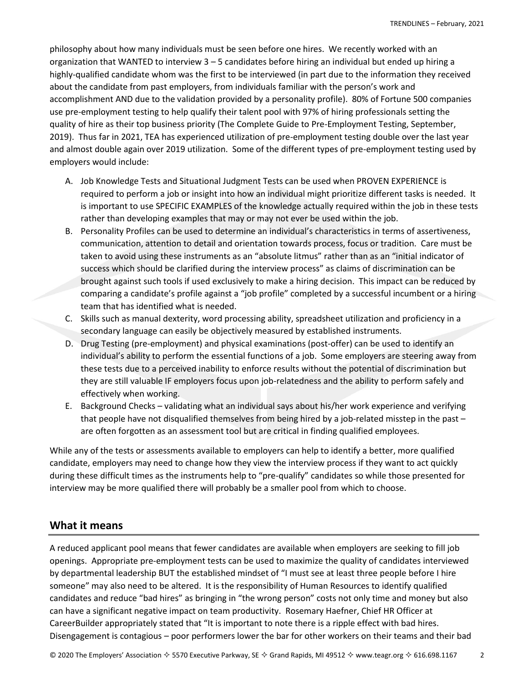philosophy about how many individuals must be seen before one hires. We recently worked with an organization that WANTED to interview 3 – 5 candidates before hiring an individual but ended up hiring a highly-qualified candidate whom was the first to be interviewed (in part due to the information they received about the candidate from past employers, from individuals familiar with the person's work and accomplishment AND due to the validation provided by a personality profile). 80% of Fortune 500 companies use pre-employment testing to help qualify their talent pool with 97% of hiring professionals setting the quality of hire as their top business priority (The Complete Guide to Pre-Employment Testing, September, 2019). Thus far in 2021, TEA has experienced utilization of pre-employment testing double over the last year and almost double again over 2019 utilization. Some of the different types of pre-employment testing used by employers would include:

- A. Job Knowledge Tests and Situational Judgment Tests can be used when PROVEN EXPERIENCE is required to perform a job or insight into how an individual might prioritize different tasks is needed. It is important to use SPECIFIC EXAMPLES of the knowledge actually required within the job in these tests rather than developing examples that may or may not ever be used within the job.
- B. Personality Profiles can be used to determine an individual's characteristics in terms of assertiveness, communication, attention to detail and orientation towards process, focus or tradition. Care must be taken to avoid using these instruments as an "absolute litmus" rather than as an "initial indicator of success which should be clarified during the interview process" as claims of discrimination can be brought against such tools if used exclusively to make a hiring decision. This impact can be reduced by comparing a candidate's profile against a "job profile" completed by a successful incumbent or a hiring team that has identified what is needed.
- C. Skills such as manual dexterity, word processing ability, spreadsheet utilization and proficiency in a secondary language can easily be objectively measured by established instruments.
- D. Drug Testing (pre-employment) and physical examinations (post-offer) can be used to identify an individual's ability to perform the essential functions of a job. Some employers are steering away from these tests due to a perceived inability to enforce results without the potential of discrimination but they are still valuable IF employers focus upon job-relatedness and the ability to perform safely and effectively when working.
- E. Background Checks validating what an individual says about his/her work experience and verifying that people have not disqualified themselves from being hired by a job-related misstep in the past – are often forgotten as an assessment tool but are critical in finding qualified employees.

While any of the tests or assessments available to employers can help to identify a better, more qualified candidate, employers may need to change how they view the interview process if they want to act quickly during these difficult times as the instruments help to "pre-qualify" candidates so while those presented for interview may be more qualified there will probably be a smaller pool from which to choose.

#### **What it means**

A reduced applicant pool means that fewer candidates are available when employers are seeking to fill job openings. Appropriate pre-employment tests can be used to maximize the quality of candidates interviewed by departmental leadership BUT the established mindset of "I must see at least three people before I hire someone" may also need to be altered. It is the responsibility of Human Resources to identify qualified candidates and reduce "bad hires" as bringing in "the wrong person" costs not only time and money but also can have a significant negative impact on team productivity. Rosemary Haefner, Chief HR Officer at CareerBuilder appropriately stated that "It is important to note there is a ripple effect with bad hires. Disengagement is contagious – poor performers lower the bar for other workers on their teams and their bad